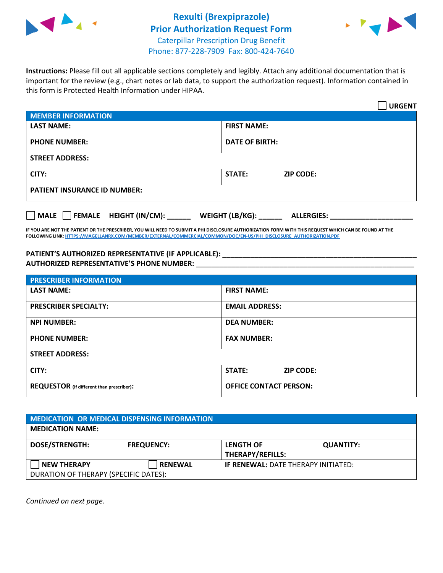



**Instructions:** Please fill out all applicable sections completely and legibly. Attach any additional documentation that is important for the review (e.g., chart notes or lab data, to support the authorization request). Information contained in this form is Protected Health Information under HIPAA.

|                                       | <b>URGENT</b>                        |  |  |
|---------------------------------------|--------------------------------------|--|--|
| <b>MEMBER INFORMATION</b>             |                                      |  |  |
| <b>LAST NAME:</b>                     | <b>FIRST NAME:</b>                   |  |  |
| <b>PHONE NUMBER:</b>                  | <b>DATE OF BIRTH:</b>                |  |  |
| <b>STREET ADDRESS:</b>                |                                      |  |  |
| CITY:                                 | <b>ZIP CODE:</b><br><b>STATE:</b>    |  |  |
| <b>PATIENT INSURANCE ID NUMBER:</b>   |                                      |  |  |
| FEMALE HEIGHT (IN/CM):<br><b>MALE</b> | WEIGHT (LB/KG):<br><b>ALLERGIES:</b> |  |  |

**IF YOU ARE NOT THE PATIENT OR THE PRESCRIBER, YOU WILL NEED TO SUBMIT A PHI DISCLOSURE AUTHORIZATION FORM WITH THIS REQUEST WHICH CAN BE FOUND AT THE FOLLOWING LINK[: HTTPS://MAGELLANRX.COM/MEMBER/EXTERNAL/COMMERCIAL/COMMON/DOC/EN-US/PHI\\_DISCLOSURE\\_AUTHORIZATION.PDF](https://magellanrx.com/member/external/commercial/common/doc/en-us/PHI_Disclosure_Authorization.pdf)**

**PATIENT'S AUTHORIZED REPRESENTATIVE (IF APPLICABLE): \_\_\_\_\_\_\_\_\_\_\_\_\_\_\_\_\_\_\_\_\_\_\_\_\_\_\_\_\_\_\_\_\_\_\_\_\_\_\_\_\_\_\_\_\_\_\_\_\_ AUTHORIZED REPRESENTATIVE'S PHONE NUMBER:** \_\_\_\_\_\_\_\_\_\_\_\_\_\_\_\_\_\_\_\_\_\_\_\_\_\_\_\_\_\_\_\_\_\_\_\_\_\_\_\_\_\_\_\_\_\_\_\_\_\_\_\_\_\_\_

| <b>PRESCRIBER INFORMATION</b>             |                               |  |
|-------------------------------------------|-------------------------------|--|
| <b>LAST NAME:</b>                         | <b>FIRST NAME:</b>            |  |
| <b>PRESCRIBER SPECIALTY:</b>              | <b>EMAIL ADDRESS:</b>         |  |
| <b>NPI NUMBER:</b>                        | <b>DEA NUMBER:</b>            |  |
| <b>PHONE NUMBER:</b>                      | <b>FAX NUMBER:</b>            |  |
| <b>STREET ADDRESS:</b>                    |                               |  |
| CITY:                                     | STATE:<br><b>ZIP CODE:</b>    |  |
| REQUESTOR (if different than prescriber): | <b>OFFICE CONTACT PERSON:</b> |  |

| MEDICATION OR MEDICAL DISPENSING INFORMATION         |                   |                                             |                  |  |  |
|------------------------------------------------------|-------------------|---------------------------------------------|------------------|--|--|
| <b>MEDICATION NAME:</b>                              |                   |                                             |                  |  |  |
| <b>DOSE/STRENGTH:</b>                                | <b>FREQUENCY:</b> | <b>LENGTH OF</b><br><b>THERAPY/REFILLS:</b> | <b>QUANTITY:</b> |  |  |
| NEW THERAPY<br>DURATION OF THERAPY (SPECIFIC DATES): | <b>RENEWAL</b>    | <b>IF RENEWAL: DATE THERAPY INITIATED:</b>  |                  |  |  |

*Continued on next page.*